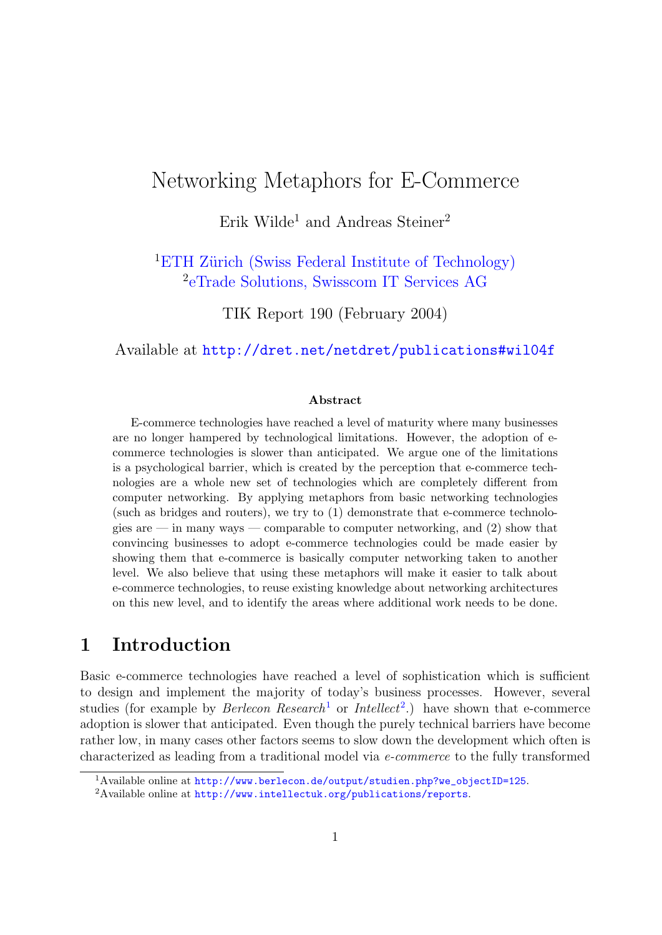# Networking Metaphors for E-Commerce

Erik Wilde<sup>1</sup> and Andreas Steiner<sup>2</sup>

<sup>1</sup>ETH Zürich (Swiss Federal Institute of Technology) 2 [eTrade Solutions, Swisscom IT Services AG](http://www.swisscom.com/it/content/etrade/)

TIK Report 190 (February 2004)

Available at <http://dret.net/netdret/publications#wil04f>

#### Abstract

E-commerce technologies have reached a level of maturity where many businesses are no longer hampered by technological limitations. However, the adoption of ecommerce technologies is slower than anticipated. We argue one of the limitations is a psychological barrier, which is created by the perception that e-commerce technologies are a whole new set of technologies which are completely different from computer networking. By applying metaphors from basic networking technologies (such as bridges and routers), we try to (1) demonstrate that e-commerce technologies are — in many ways — comparable to computer networking, and (2) show that convincing businesses to adopt e-commerce technologies could be made easier by showing them that e-commerce is basically computer networking taken to another level. We also believe that using these metaphors will make it easier to talk about e-commerce technologies, to reuse existing knowledge about networking architectures on this new level, and to identify the areas where additional work needs to be done.

### 1 Introduction

Basic e-commerce technologies have reached a level of sophistication which is sufficient to design and implement the majority of today's business processes. However, several studies (for example by *Berlecon Research*<sup>1</sup> or *Intellect*<sup>2</sup>.) have shown that e-commerce adoption is slower that anticipated. Even though the purely technical barriers have become rather low, in many cases other factors seems to slow down the development which often is characterized as leading from a traditional model via e-commerce to the fully transformed

<sup>&</sup>lt;sup>1</sup>Available online at [http://www.berlecon.de/output/studien.php?we\\_objectID=125](http://www.berlecon.de/output/studien.php?we_objectID=125).

<sup>2</sup>Available online at <http://www.intellectuk.org/publications/reports>.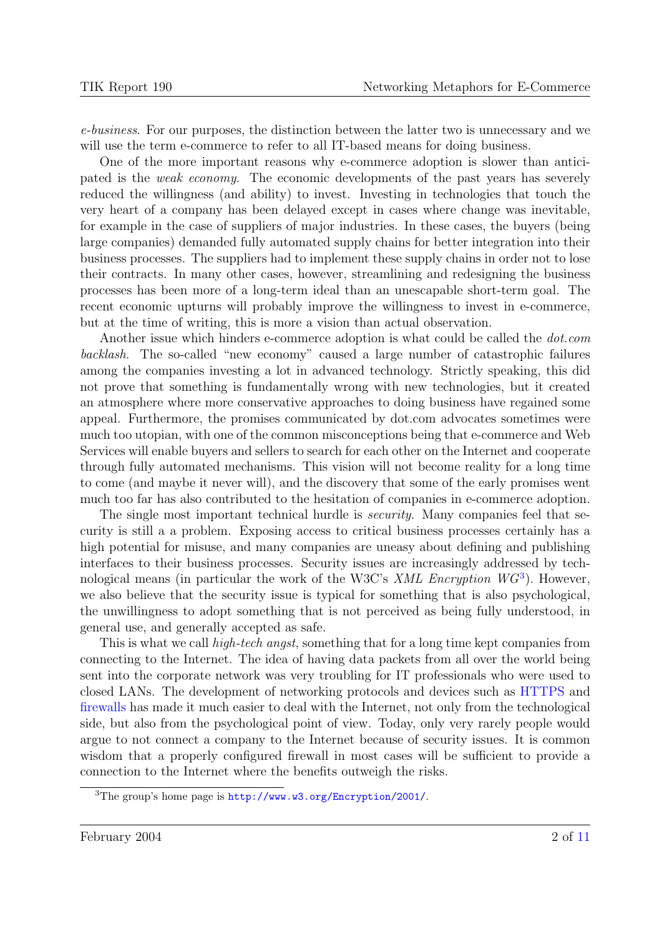e-business. For our purposes, the distinction between the latter two is unnecessary and we will use the term e-commerce to refer to all IT-based means for doing business.

One of the more important reasons why e-commerce adoption is slower than anticipated is the weak economy. The economic developments of the past years has severely reduced the willingness (and ability) to invest. Investing in technologies that touch the very heart of a company has been delayed except in cases where change was inevitable, for example in the case of suppliers of major industries. In these cases, the buyers (being large companies) demanded fully automated supply chains for better integration into their business processes. The suppliers had to implement these supply chains in order not to lose their contracts. In many other cases, however, streamlining and redesigning the business processes has been more of a long-term ideal than an unescapable short-term goal. The recent economic upturns will probably improve the willingness to invest in e-commerce, but at the time of writing, this is more a vision than actual observation.

Another issue which hinders e-commerce adoption is what could be called the *dot.com* backlash. The so-called "new economy" caused a large number of catastrophic failures among the companies investing a lot in advanced technology. Strictly speaking, this did not prove that something is fundamentally wrong with new technologies, but it created an atmosphere where more conservative approaches to doing business have regained some appeal. Furthermore, the promises communicated by dot.com advocates sometimes were much too utopian, with one of the common misconceptions being that e-commerce and Web Services will enable buyers and sellers to search for each other on the Internet and cooperate through fully automated mechanisms. This vision will not become reality for a long time to come (and maybe it never will), and the discovery that some of the early promises went much too far has also contributed to the hesitation of companies in e-commerce adoption.

The single most important technical hurdle is *security*. Many companies feel that security is still a a problem. Exposing access to critical business processes certainly has a high potential for misuse, and many companies are uneasy about defining and publishing interfaces to their business processes. Security issues are increasingly addressed by technological means (in particular the work of the W3C's  $XML$  Encryption  $WG^3$ ). However, we also believe that the security issue is typical for something that is also psychological, the unwillingness to adopt something that is not perceived as being fully understood, in general use, and generally accepted as safe.

This is what we call *high-tech angst*, something that for a long time kept companies from connecting to the Internet. The idea of having data packets from all over the world being sent into the corporate network was very troubling for IT professionals who were used to closed LANs. The development of networking protocols and devices such as [HTTPS](http://dret.net/glossary/https) and [firewalls](http://dret.net/glossary/firewall) has made it much easier to deal with the Internet, not only from the technological side, but also from the psychological point of view. Today, only very rarely people would argue to not connect a company to the Internet because of security issues. It is common wisdom that a properly configured firewall in most cases will be sufficient to provide a connection to the Internet where the benefits outweigh the risks.

<sup>3</sup>The group's home page is <http://www.w3.org/Encryption/2001/>.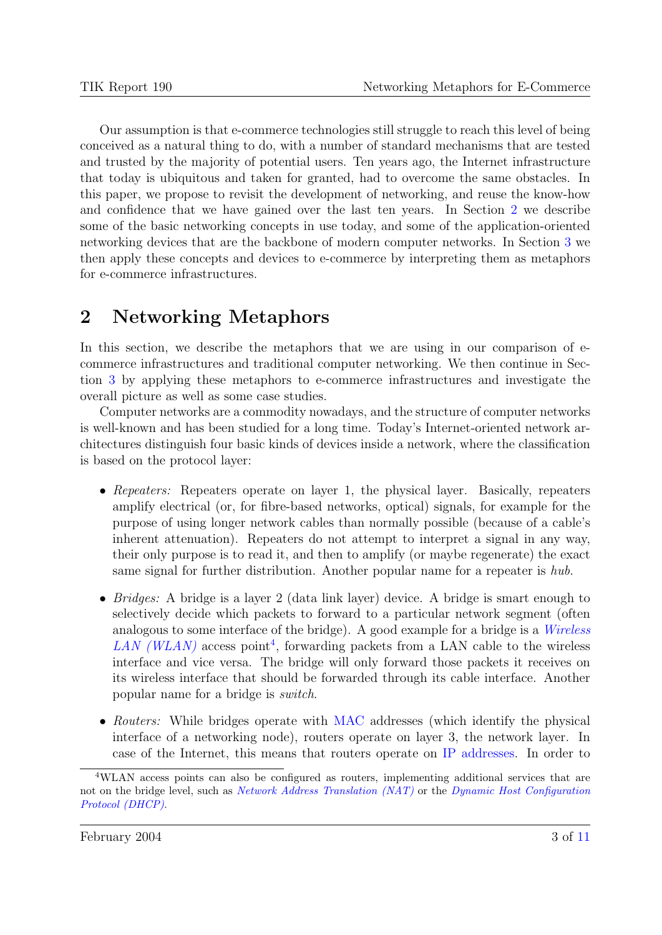Our assumption is that e-commerce technologies still struggle to reach this level of being conceived as a natural thing to do, with a number of standard mechanisms that are tested and trusted by the majority of potential users. Ten years ago, the Internet infrastructure that today is ubiquitous and taken for granted, had to overcome the same obstacles. In this paper, we propose to revisit the development of networking, and reuse the know-how and confidence that we have gained over the last ten years. In Section 2 we describe some of the basic networking concepts in use today, and some of the application-oriented networking devices that are the backbone of modern computer networks. In Section [3](#page-5-0) we then apply these concepts and devices to e-commerce by interpreting them as metaphors for e-commerce infrastructures.

### 2 Networking Metaphors

In this section, we describe the metaphors that we are using in our comparison of ecommerce infrastructures and traditional computer networking. We then continue in Section [3](#page-5-0) by applying these metaphors to e-commerce infrastructures and investigate the overall picture as well as some case studies.

Computer networks are a commodity nowadays, and the structure of computer networks is well-known and has been studied for a long time. Today's Internet-oriented network architectures distinguish four basic kinds of devices inside a network, where the classification is based on the protocol layer:

- Repeaters: Repeaters operate on layer 1, the physical layer. Basically, repeaters amplify electrical (or, for fibre-based networks, optical) signals, for example for the purpose of using longer network cables than normally possible (because of a cable's inherent attenuation). Repeaters do not attempt to interpret a signal in any way, their only purpose is to read it, and then to amplify (or maybe regenerate) the exact same signal for further distribution. Another popular name for a repeater is hub.
- *Bridges:* A bridge is a layer 2 (data link layer) device. A bridge is smart enough to selectively decide which packets to forward to a particular network segment (often analogous to some interface of the bridge). A good example for a bridge is a [Wireless](http://dret.net/glossary/wlan)  $LAN$  ( $WLAN$ ) access point<sup>4</sup>, forwarding packets from a LAN cable to the wireless interface and vice versa. The bridge will only forward those packets it receives on its wireless interface that should be forwarded through its cable interface. Another popular name for a bridge is switch.
- Routers: While bridges operate with [MAC](http://dret.net/glossary/mac) addresses (which identify the physical interface of a networking node), routers operate on layer 3, the network layer. In case of the Internet, this means that routers operate on [IP addresses.](http://dret.net/glossary/ipaddress) In order to

<sup>4</sup>WLAN access points can also be configured as routers, implementing additional services that are not on the bridge level, such as [Network Address Translation \(NAT\)](http://dret.net/glossary/nat) or the [Dynamic Host Configuration](http://dret.net/glossary/dhcp) [Protocol \(DHCP\)](http://dret.net/glossary/dhcp).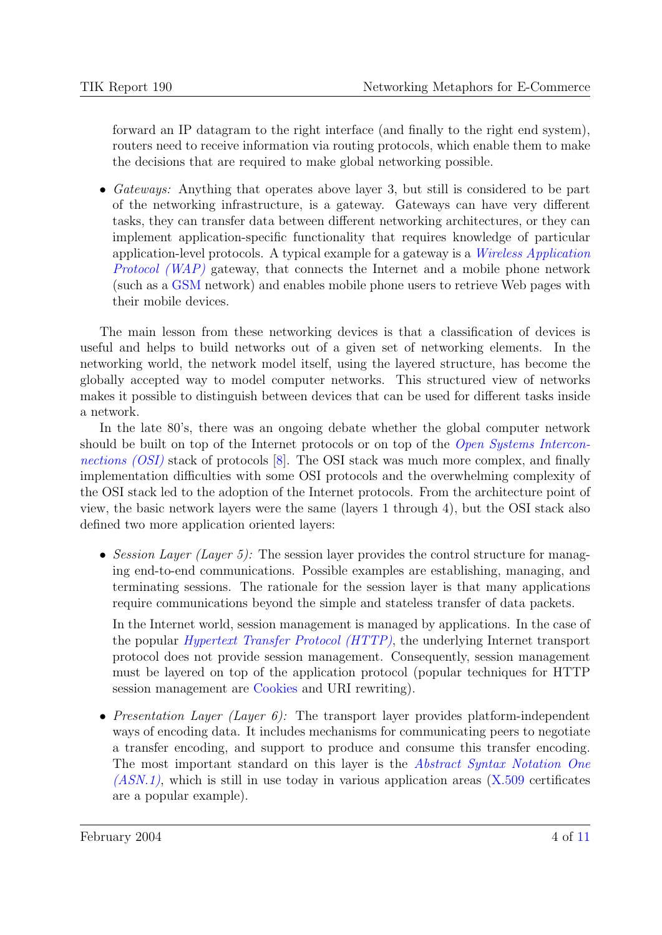forward an IP datagram to the right interface (and finally to the right end system), routers need to receive information via routing protocols, which enable them to make the decisions that are required to make global networking possible.

• Gateways: Anything that operates above layer 3, but still is considered to be part of the networking infrastructure, is a gateway. Gateways can have very different tasks, they can transfer data between different networking architectures, or they can implement application-specific functionality that requires knowledge of particular application-level protocols. A typical example for a gateway is a [Wireless Application](http://dret.net/glossary/wap) [Protocol \(WAP\)](http://dret.net/glossary/wap) gateway, that connects the Internet and a mobile phone network (such as a [GSM](http://dret.net/glossary/gsm) network) and enables mobile phone users to retrieve Web pages with their mobile devices.

The main lesson from these networking devices is that a classification of devices is useful and helps to build networks out of a given set of networking elements. In the networking world, the network model itself, using the layered structure, has become the globally accepted way to model computer networks. This structured view of networks makes it possible to distinguish between devices that can be used for different tasks inside a network.

In the late 80's, there was an ongoing debate whether the global computer network should be built on top of the Internet protocols or on top of the *Open Systems Intercon*[nections \(OSI\)](http://dret.net/glossary/osi) stack of protocols [\[8\]](#page-10-0). The OSI stack was much more complex, and finally implementation difficulties with some OSI protocols and the overwhelming complexity of the OSI stack led to the adoption of the Internet protocols. From the architecture point of view, the basic network layers were the same (layers 1 through 4), but the OSI stack also defined two more application oriented layers:

• Session Layer (Layer 5): The session layer provides the control structure for managing end-to-end communications. Possible examples are establishing, managing, and terminating sessions. The rationale for the session layer is that many applications require communications beyond the simple and stateless transfer of data packets.

In the Internet world, session management is managed by applications. In the case of the popular [Hypertext Transfer Protocol \(HTTP\)](http://dret.net/glossary/http), the underlying Internet transport protocol does not provide session management. Consequently, session management must be layered on top of the application protocol (popular techniques for HTTP session management are [Cookies](http://dret.net/glossary/cookie) and URI rewriting).

• Presentation Layer (Layer 6): The transport layer provides platform-independent ways of encoding data. It includes mechanisms for communicating peers to negotiate a transfer encoding, and support to produce and consume this transfer encoding. The most important standard on this layer is the *[Abstract Syntax Notation One](http://dret.net/glossary/asn1)*  $(ASN.1)$ , which is still in use today in various application areas  $(X.509$  certificates are a popular example).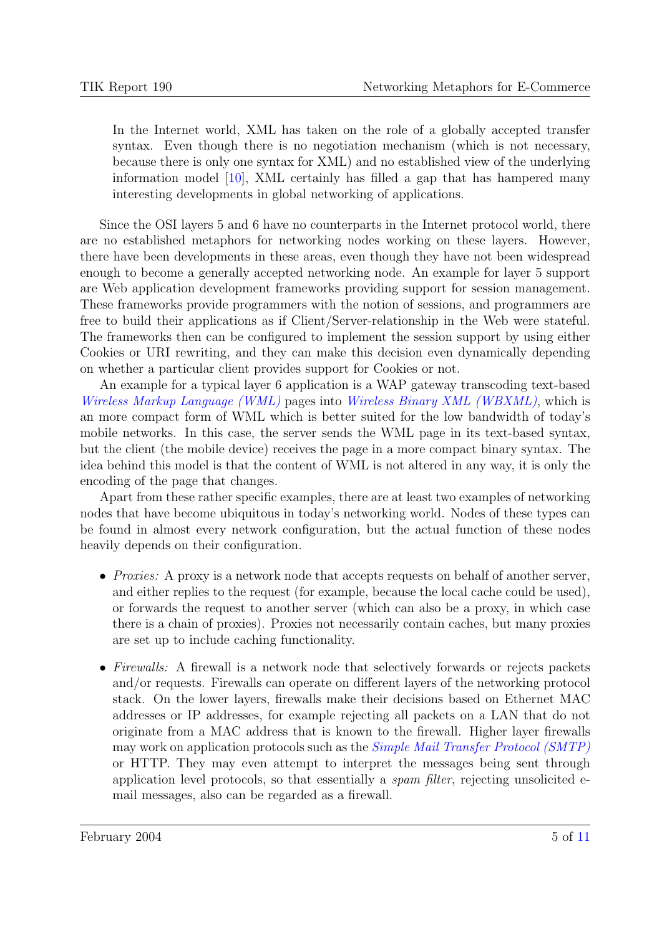In the Internet world, XML has taken on the role of a globally accepted transfer syntax. Even though there is no negotiation mechanism (which is not necessary, because there is only one syntax for XML) and no established view of the underlying information model [\[10\]](#page-10-0), XML certainly has filled a gap that has hampered many interesting developments in global networking of applications.

Since the OSI layers 5 and 6 have no counterparts in the Internet protocol world, there are no established metaphors for networking nodes working on these layers. However, there have been developments in these areas, even though they have not been widespread enough to become a generally accepted networking node. An example for layer 5 support are Web application development frameworks providing support for session management. These frameworks provide programmers with the notion of sessions, and programmers are free to build their applications as if Client/Server-relationship in the Web were stateful. The frameworks then can be configured to implement the session support by using either Cookies or URI rewriting, and they can make this decision even dynamically depending on whether a particular client provides support for Cookies or not.

An example for a typical layer 6 application is a WAP gateway transcoding text-based [Wireless Markup Language \(WML\)](http://dret.net/glossary/wml) pages into [Wireless Binary XML \(WBXML\)](http://dret.net/glossary/wbxml), which is an more compact form of WML which is better suited for the low bandwidth of today's mobile networks. In this case, the server sends the WML page in its text-based syntax, but the client (the mobile device) receives the page in a more compact binary syntax. The idea behind this model is that the content of WML is not altered in any way, it is only the encoding of the page that changes.

Apart from these rather specific examples, there are at least two examples of networking nodes that have become ubiquitous in today's networking world. Nodes of these types can be found in almost every network configuration, but the actual function of these nodes heavily depends on their configuration.

- *Proxies:* A proxy is a network node that accepts requests on behalf of another server, and either replies to the request (for example, because the local cache could be used), or forwards the request to another server (which can also be a proxy, in which case there is a chain of proxies). Proxies not necessarily contain caches, but many proxies are set up to include caching functionality.
- Firewalls: A firewall is a network node that selectively forwards or rejects packets and/or requests. Firewalls can operate on different layers of the networking protocol stack. On the lower layers, firewalls make their decisions based on Ethernet MAC addresses or IP addresses, for example rejecting all packets on a LAN that do not originate from a MAC address that is known to the firewall. Higher layer firewalls may work on application protocols such as the *[Simple Mail Transfer Protocol \(SMTP\)](http://dret.net/glossary/smtp)* or HTTP. They may even attempt to interpret the messages being sent through application level protocols, so that essentially a spam filter, rejecting unsolicited email messages, also can be regarded as a firewall.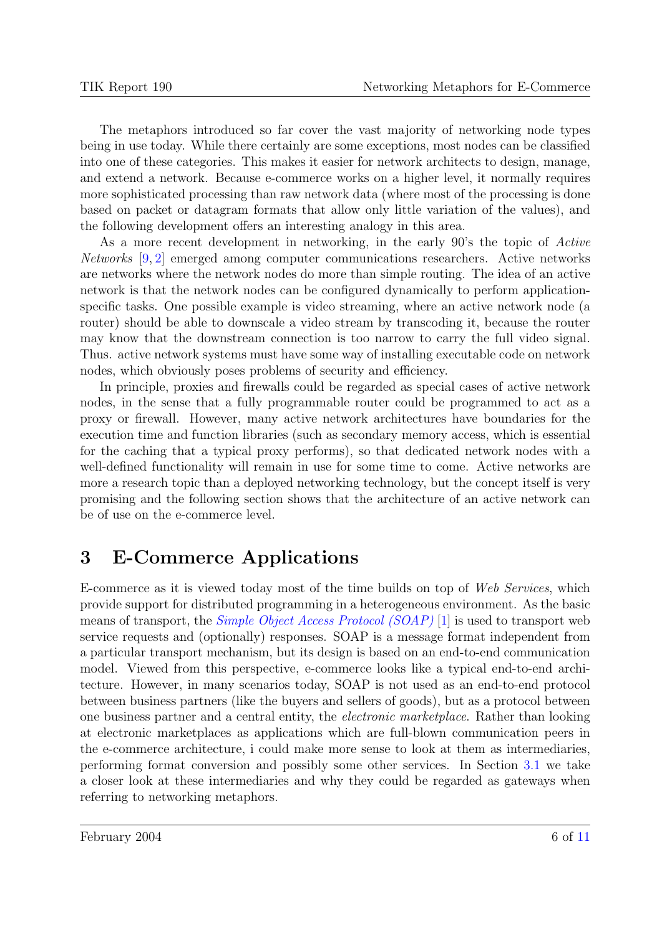<span id="page-5-0"></span>The metaphors introduced so far cover the vast majority of networking node types being in use today. While there certainly are some exceptions, most nodes can be classified into one of these categories. This makes it easier for network architects to design, manage, and extend a network. Because e-commerce works on a higher level, it normally requires more sophisticated processing than raw network data (where most of the processing is done based on packet or datagram formats that allow only little variation of the values), and the following development offers an interesting analogy in this area.

As a more recent development in networking, in the early 90's the topic of Active Networks [\[9,](#page-10-0) [2\]](#page-10-0) emerged among computer communications researchers. Active networks are networks where the network nodes do more than simple routing. The idea of an active network is that the network nodes can be configured dynamically to perform applicationspecific tasks. One possible example is video streaming, where an active network node (a router) should be able to downscale a video stream by transcoding it, because the router may know that the downstream connection is too narrow to carry the full video signal. Thus. active network systems must have some way of installing executable code on network nodes, which obviously poses problems of security and efficiency.

In principle, proxies and firewalls could be regarded as special cases of active network nodes, in the sense that a fully programmable router could be programmed to act as a proxy or firewall. However, many active network architectures have boundaries for the execution time and function libraries (such as secondary memory access, which is essential for the caching that a typical proxy performs), so that dedicated network nodes with a well-defined functionality will remain in use for some time to come. Active networks are more a research topic than a deployed networking technology, but the concept itself is very promising and the following section shows that the architecture of an active network can be of use on the e-commerce level.

# 3 E-Commerce Applications

E-commerce as it is viewed today most of the time builds on top of Web Services, which provide support for distributed programming in a heterogeneous environment. As the basic means of transport, the *[Simple Object Access Protocol \(SOAP\)](http://dret.net/glossary/soap)* [\[1\]](#page-10-0) is used to transport web service requests and (optionally) responses. SOAP is a message format independent from a particular transport mechanism, but its design is based on an end-to-end communication model. Viewed from this perspective, e-commerce looks like a typical end-to-end architecture. However, in many scenarios today, SOAP is not used as an end-to-end protocol between business partners (like the buyers and sellers of goods), but as a protocol between one business partner and a central entity, the electronic marketplace. Rather than looking at electronic marketplaces as applications which are full-blown communication peers in the e-commerce architecture, i could make more sense to look at them as intermediaries, performing format conversion and possibly some other services. In Section [3.1](#page-6-0) we take a closer look at these intermediaries and why they could be regarded as gateways when referring to networking metaphors.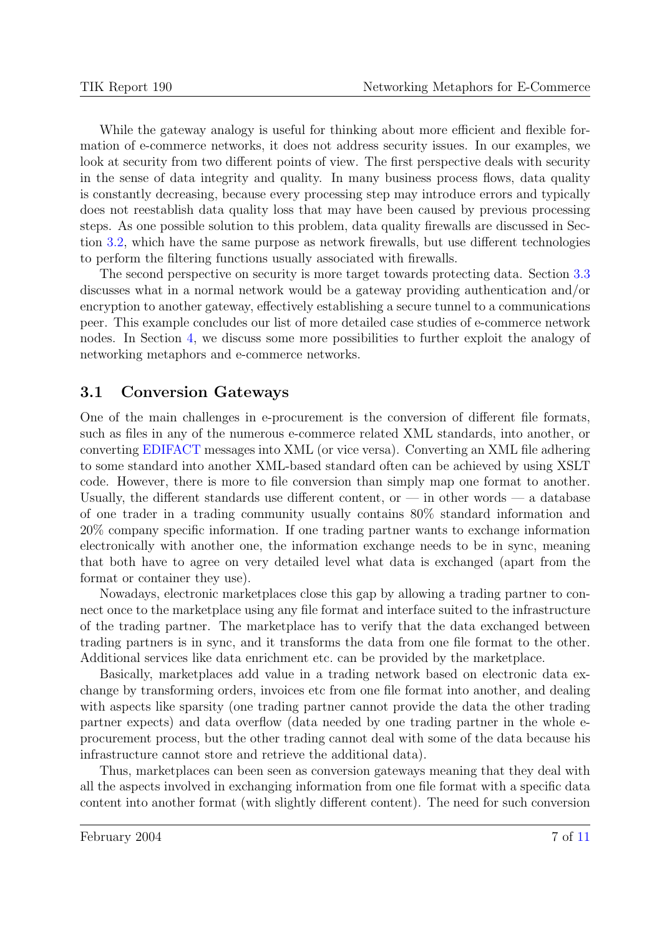<span id="page-6-0"></span>While the gateway analogy is useful for thinking about more efficient and flexible formation of e-commerce networks, it does not address security issues. In our examples, we look at security from two different points of view. The first perspective deals with security in the sense of data integrity and quality. In many business process flows, data quality is constantly decreasing, because every processing step may introduce errors and typically does not reestablish data quality loss that may have been caused by previous processing steps. As one possible solution to this problem, data quality firewalls are discussed in Section [3.2,](#page-7-0) which have the same purpose as network firewalls, but use different technologies to perform the filtering functions usually associated with firewalls.

The second perspective on security is more target towards protecting data. Section [3.3](#page-8-0) discusses what in a normal network would be a gateway providing authentication and/or encryption to another gateway, effectively establishing a secure tunnel to a communications peer. This example concludes our list of more detailed case studies of e-commerce network nodes. In Section [4,](#page-8-0) we discuss some more possibilities to further exploit the analogy of networking metaphors and e-commerce networks.

#### 3.1 Conversion Gateways

One of the main challenges in e-procurement is the conversion of different file formats, such as files in any of the numerous e-commerce related XML standards, into another, or converting [EDIFACT](http://dret.net/glossary/edifact) messages into XML (or vice versa). Converting an XML file adhering to some standard into another XML-based standard often can be achieved by using XSLT code. However, there is more to file conversion than simply map one format to another. Usually, the different standards use different content, or  $-$  in other words  $-$  a database of one trader in a trading community usually contains 80% standard information and 20% company specific information. If one trading partner wants to exchange information electronically with another one, the information exchange needs to be in sync, meaning that both have to agree on very detailed level what data is exchanged (apart from the format or container they use).

Nowadays, electronic marketplaces close this gap by allowing a trading partner to connect once to the marketplace using any file format and interface suited to the infrastructure of the trading partner. The marketplace has to verify that the data exchanged between trading partners is in sync, and it transforms the data from one file format to the other. Additional services like data enrichment etc. can be provided by the marketplace.

Basically, marketplaces add value in a trading network based on electronic data exchange by transforming orders, invoices etc from one file format into another, and dealing with aspects like sparsity (one trading partner cannot provide the data the other trading partner expects) and data overflow (data needed by one trading partner in the whole eprocurement process, but the other trading cannot deal with some of the data because his infrastructure cannot store and retrieve the additional data).

Thus, marketplaces can been seen as conversion gateways meaning that they deal with all the aspects involved in exchanging information from one file format with a specific data content into another format (with slightly different content). The need for such conversion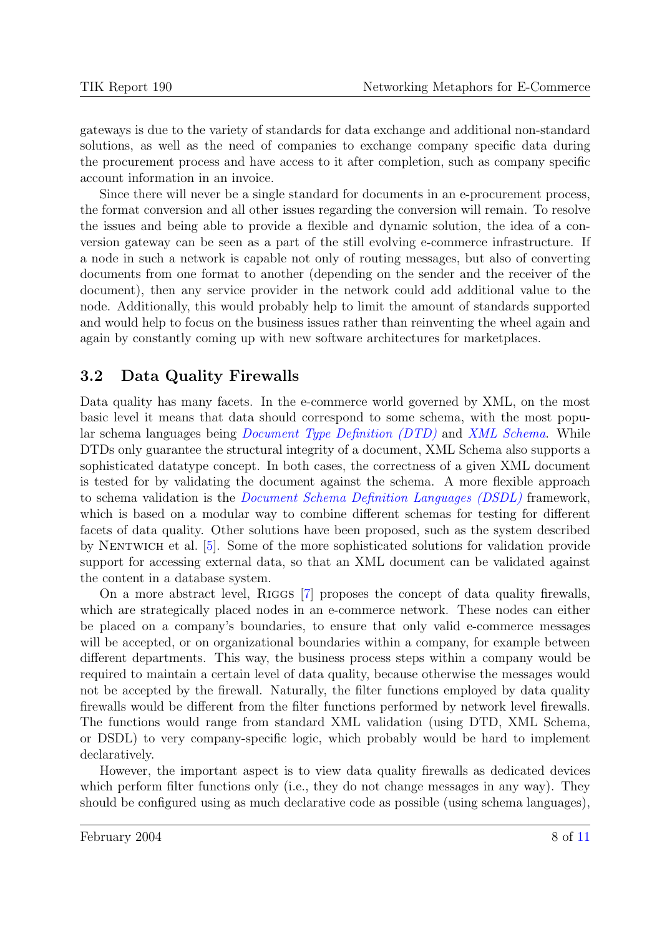<span id="page-7-0"></span>gateways is due to the variety of standards for data exchange and additional non-standard solutions, as well as the need of companies to exchange company specific data during the procurement process and have access to it after completion, such as company specific account information in an invoice.

Since there will never be a single standard for documents in an e-procurement process, the format conversion and all other issues regarding the conversion will remain. To resolve the issues and being able to provide a flexible and dynamic solution, the idea of a conversion gateway can be seen as a part of the still evolving e-commerce infrastructure. If a node in such a network is capable not only of routing messages, but also of converting documents from one format to another (depending on the sender and the receiver of the document), then any service provider in the network could add additional value to the node. Additionally, this would probably help to limit the amount of standards supported and would help to focus on the business issues rather than reinventing the wheel again and again by constantly coming up with new software architectures for marketplaces.

### 3.2 Data Quality Firewalls

Data quality has many facets. In the e-commerce world governed by XML, on the most basic level it means that data should correspond to some schema, with the most popular schema languages being [Document Type Definition \(DTD\)](http://dret.net/glossary/dtd) and [XML Schema](http://dret.net/glossary/xmlschema). While DTDs only guarantee the structural integrity of a document, XML Schema also supports a sophisticated datatype concept. In both cases, the correctness of a given XML document is tested for by validating the document against the schema. A more flexible approach to schema validation is the [Document Schema Definition Languages \(DSDL\)](http://dret.net/glossary/dsdl) framework, which is based on a modular way to combine different schemas for testing for different facets of data quality. Other solutions have been proposed, such as the system described by Nentwich et al. [\[5\]](#page-10-0). Some of the more sophisticated solutions for validation provide support for accessing external data, so that an XML document can be validated against the content in a database system.

On a more abstract level, RIGGS [\[7\]](#page-10-0) proposes the concept of data quality firewalls, which are strategically placed nodes in an e-commerce network. These nodes can either be placed on a company's boundaries, to ensure that only valid e-commerce messages will be accepted, or on organizational boundaries within a company, for example between different departments. This way, the business process steps within a company would be required to maintain a certain level of data quality, because otherwise the messages would not be accepted by the firewall. Naturally, the filter functions employed by data quality firewalls would be different from the filter functions performed by network level firewalls. The functions would range from standard XML validation (using DTD, XML Schema, or DSDL) to very company-specific logic, which probably would be hard to implement declaratively.

However, the important aspect is to view data quality firewalls as dedicated devices which perform filter functions only (i.e., they do not change messages in any way). They should be configured using as much declarative code as possible (using schema languages),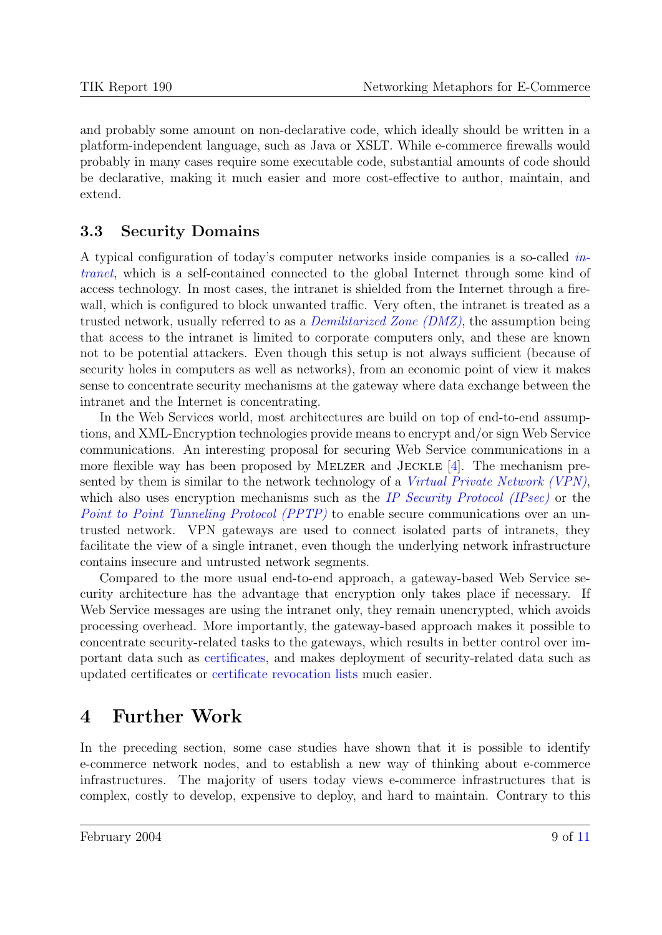<span id="page-8-0"></span>and probably some amount on non-declarative code, which ideally should be written in a platform-independent language, such as Java or XSLT. While e-commerce firewalls would probably in many cases require some executable code, substantial amounts of code should be declarative, making it much easier and more cost-effective to author, maintain, and extend.

### 3.3 Security Domains

A typical configuration of today's computer networks inside companies is a so-called [in](http://dret.net/glossary/intranet)[tranet](http://dret.net/glossary/intranet), which is a self-contained connected to the global Internet through some kind of access technology. In most cases, the intranet is shielded from the Internet through a firewall, which is configured to block unwanted traffic. Very often, the intranet is treated as a trusted network, usually referred to as a [Demilitarized Zone \(DMZ\)](http://dret.net/glossary/dmz), the assumption being that access to the intranet is limited to corporate computers only, and these are known not to be potential attackers. Even though this setup is not always sufficient (because of security holes in computers as well as networks), from an economic point of view it makes sense to concentrate security mechanisms at the gateway where data exchange between the intranet and the Internet is concentrating.

In the Web Services world, most architectures are build on top of end-to-end assumptions, and XML-Encryption technologies provide means to encrypt and/or sign Web Service communications. An interesting proposal for securing Web Service communications in a more flexible way has been proposed by MELZER and JECKLE  $[4]$ . The mechanism presented by them is similar to the network technology of a [Virtual Private Network \(VPN\)](http://dret.net/glossary/vpn), which also uses encryption mechanisms such as the [IP Security Protocol \(IPsec\)](http://dret.net/glossary/ipsec) or the [Point to Point Tunneling Protocol \(PPTP\)](http://dret.net/glossary/pptp) to enable secure communications over an untrusted network. VPN gateways are used to connect isolated parts of intranets, they facilitate the view of a single intranet, even though the underlying network infrastructure contains insecure and untrusted network segments.

Compared to the more usual end-to-end approach, a gateway-based Web Service security architecture has the advantage that encryption only takes place if necessary. If Web Service messages are using the intranet only, they remain unencrypted, which avoids processing overhead. More importantly, the gateway-based approach makes it possible to concentrate security-related tasks to the gateways, which results in better control over important data such as [certificates,](http://dret.net/glossary/certificate) and makes deployment of security-related data such as updated certificates or [certificate revocation lists](http://dret.net/glossary/crl) much easier.

# 4 Further Work

In the preceding section, some case studies have shown that it is possible to identify e-commerce network nodes, and to establish a new way of thinking about e-commerce infrastructures. The majority of users today views e-commerce infrastructures that is complex, costly to develop, expensive to deploy, and hard to maintain. Contrary to this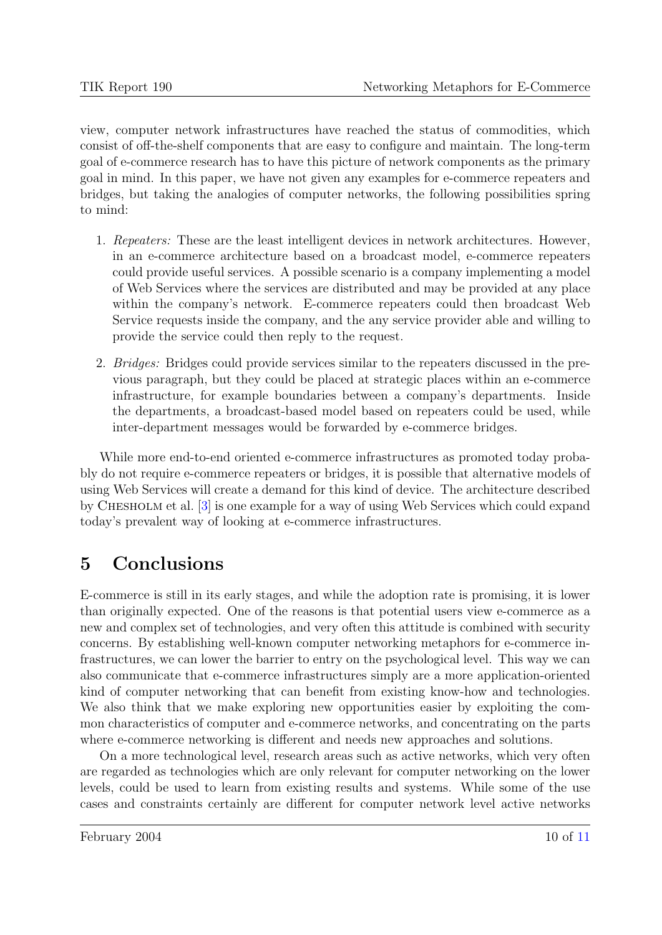view, computer network infrastructures have reached the status of commodities, which consist of off-the-shelf components that are easy to configure and maintain. The long-term goal of e-commerce research has to have this picture of network components as the primary goal in mind. In this paper, we have not given any examples for e-commerce repeaters and bridges, but taking the analogies of computer networks, the following possibilities spring to mind:

- 1. Repeaters: These are the least intelligent devices in network architectures. However, in an e-commerce architecture based on a broadcast model, e-commerce repeaters could provide useful services. A possible scenario is a company implementing a model of Web Services where the services are distributed and may be provided at any place within the company's network. E-commerce repeaters could then broadcast Web Service requests inside the company, and the any service provider able and willing to provide the service could then reply to the request.
- 2. Bridges: Bridges could provide services similar to the repeaters discussed in the previous paragraph, but they could be placed at strategic places within an e-commerce infrastructure, for example boundaries between a company's departments. Inside the departments, a broadcast-based model based on repeaters could be used, while inter-department messages would be forwarded by e-commerce bridges.

While more end-to-end oriented e-commerce infrastructures as promoted today probably do not require e-commerce repeaters or bridges, it is possible that alternative models of using Web Services will create a demand for this kind of device. The architecture described by Chesholm et al. [\[3\]](#page-10-0) is one example for a way of using Web Services which could expand today's prevalent way of looking at e-commerce infrastructures.

# 5 Conclusions

E-commerce is still in its early stages, and while the adoption rate is promising, it is lower than originally expected. One of the reasons is that potential users view e-commerce as a new and complex set of technologies, and very often this attitude is combined with security concerns. By establishing well-known computer networking metaphors for e-commerce infrastructures, we can lower the barrier to entry on the psychological level. This way we can also communicate that e-commerce infrastructures simply are a more application-oriented kind of computer networking that can benefit from existing know-how and technologies. We also think that we make exploring new opportunities easier by exploiting the common characteristics of computer and e-commerce networks, and concentrating on the parts where e-commerce networking is different and needs new approaches and solutions.

On a more technological level, research areas such as active networks, which very often are regarded as technologies which are only relevant for computer networking on the lower levels, could be used to learn from existing results and systems. While some of the use cases and constraints certainly are different for computer network level active networks